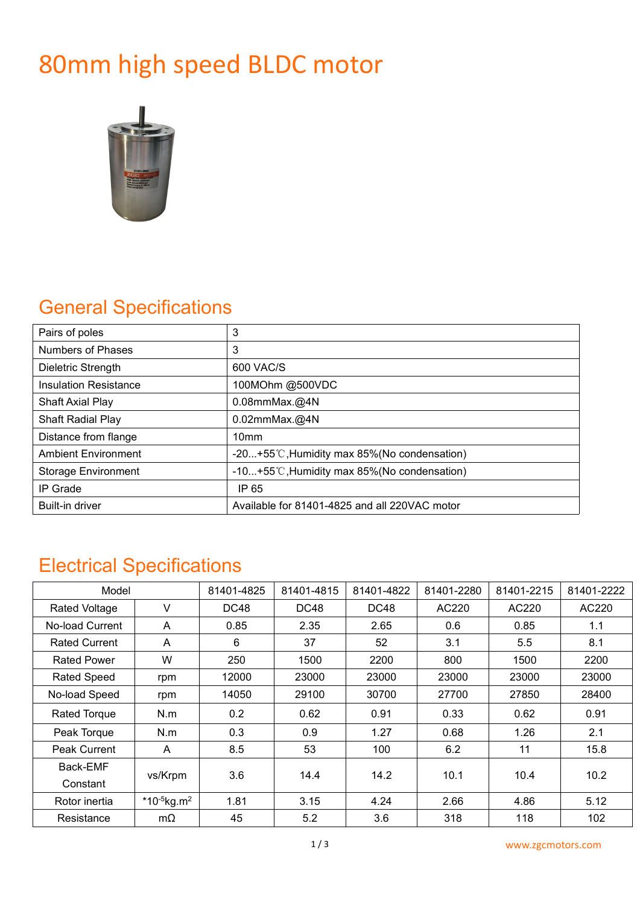# 80mm high speed BLDC motor



# General Specifications

| Pairs of poles               | 3                                                      |
|------------------------------|--------------------------------------------------------|
| Numbers of Phases            | 3                                                      |
| Dieletric Strength           | 600 VAC/S                                              |
| <b>Insulation Resistance</b> | 100MOhm @500VDC                                        |
| <b>Shaft Axial Play</b>      | $0.08$ mmMax. $@4N$                                    |
| Shaft Radial Play            | $0.02$ mmMax. $@4N$                                    |
| Distance from flange         | 10 <sub>mm</sub>                                       |
| <b>Ambient Environment</b>   | $-20+55^{\circ}$ C, Humidity max 85% (No condensation) |
| <b>Storage Environment</b>   | -10+55°C, Humidity max 85% (No condensation)           |
| IP Grade                     | IP 65                                                  |
| Built-in driver              | Available for 81401-4825 and all 220VAC motor          |

## Electrical Specifications

| Model                |                            | 81401-4825 | 81401-4815  | 81401-4822  | 81401-2280 | 81401-2215 | 81401-2222 |
|----------------------|----------------------------|------------|-------------|-------------|------------|------------|------------|
| <b>Rated Voltage</b> | V                          | DC48       | <b>DC48</b> | <b>DC48</b> | AC220      | AC220      | AC220      |
| No-load Current      | A                          | 0.85       | 2.35        | 2.65        | 0.6        | 0.85       | 1.1        |
| <b>Rated Current</b> | A                          | 6          | 37          | 52          | 3.1        | 5.5        | 8.1        |
| <b>Rated Power</b>   | W                          | 250        | 1500        | 2200        | 800        | 1500       | 2200       |
| <b>Rated Speed</b>   | rpm                        | 12000      | 23000       | 23000       | 23000      | 23000      | 23000      |
| No-load Speed        | rpm                        | 14050      | 29100       | 30700       | 27700      | 27850      | 28400      |
| <b>Rated Torque</b>  | N.m                        | 0.2        | 0.62        | 0.91        | 0.33       | 0.62       | 0.91       |
| Peak Torque          | N.m                        | 0.3        | 0.9         | 1.27        | 0.68       | 1.26       | 2.1        |
| Peak Current         | A                          | 8.5        | 53          | 100         | 6.2        | 11         | 15.8       |
| Back-EMF<br>Constant | vs/Krpm                    | 3.6        | 14.4        | 14.2        | 10.1       | 10.4       | 10.2       |
| Rotor inertia        | *10- $5$ kg.m <sup>2</sup> | 1.81       | 3.15        | 4.24        | 2.66       | 4.86       | 5.12       |
| Resistance           | $m\Omega$                  | 45         | 5.2         | 3.6         | 318        | 118        | 102        |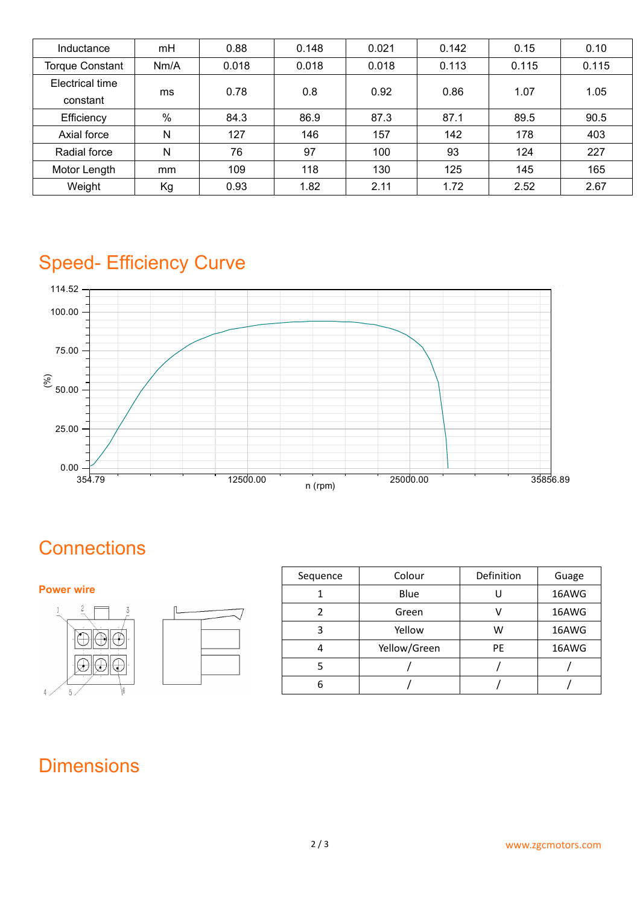| Inductance                  | mH   | 0.88  | 0.148 | 0.021 | 0.142 | 0.15  | 0.10  |
|-----------------------------|------|-------|-------|-------|-------|-------|-------|
| <b>Torque Constant</b>      | Nm/A | 0.018 | 0.018 | 0.018 | 0.113 | 0.115 | 0.115 |
| Electrical time<br>constant | ms   | 0.78  | 0.8   | 0.92  | 0.86  | 1.07  | 1.05  |
| Efficiency                  | $\%$ | 84.3  | 86.9  | 87.3  | 87.1  | 89.5  | 90.5  |
| Axial force                 | N    | 127   | 146   | 157   | 142   | 178   | 403   |
| Radial force                | N    | 76    | 97    | 100   | 93    | 124   | 227   |
| Motor Length                | mm   | 109   | 118   | 130   | 125   | 145   | 165   |
| Weight                      | Kg   | 0.93  | 1.82  | 2.11  | 1.72  | 2.52  | 2.67  |

# Speed- Efficiency Curve



# **Connections**

#### **Power wire**



| Sequence | Colour       | Definition | Guage |
|----------|--------------|------------|-------|
|          | Blue         |            | 16AWG |
|          | Green        |            | 16AWG |
| 3        | Yellow       | W          | 16AWG |
| 4        | Yellow/Green | <b>PE</b>  | 16AWG |
|          |              |            |       |
| ь        |              |            |       |

## **Dimensions**